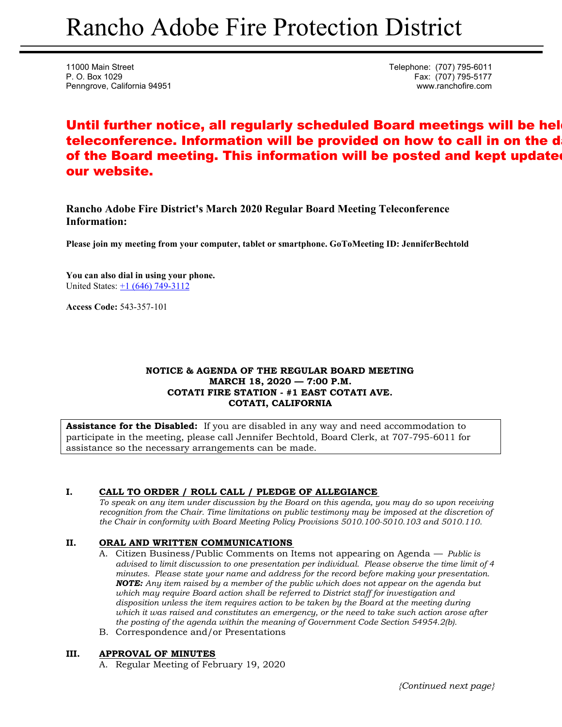11000 Main Street **Telephone:** (707) 795-6011 P. O. Box 1029 Fax: (707) 795-5177 Penngrove, California 94951 www.ranchofire.com

# Until further notice, all regularly scheduled Board meetings will be hel teleconference. Information will be provided on how to call in on the d of the Board meeting. This information will be posted and kept updated our website.

**Rancho Adobe Fire District's March 2020 Regular Board Meeting Teleconference Information:** 

**Please join my meeting from your computer, tablet or smartphone. GoToMeeting ID: JenniferBechtold**

**You can also dial in using your phone.**  United States: +1 (646) 749-3112

**Access Code:** 543-357-101

# **NOTICE & AGENDA OF THE REGULAR BOARD MEETING MARCH 18, 2020 — 7:00 P.M. COTATI FIRE STATION - #1 EAST COTATI AVE. COTATI, CALIFORNIA**

**Assistance for the Disabled:** If you are disabled in any way and need accommodation to participate in the meeting, please call Jennifer Bechtold, Board Clerk, at 707-795-6011 for assistance so the necessary arrangements can be made.

# **I. CALL TO ORDER / ROLL CALL / PLEDGE OF ALLEGIANCE**

*To speak on any item under discussion by the Board on this agenda, you may do so upon receiving recognition from the Chair. Time limitations on public testimony may be imposed at the discretion of the Chair in conformity with Board Meeting Policy Provisions 5010.100-5010.103 and 5010.110.* 

# **II. ORAL AND WRITTEN COMMUNICATIONS**

- A. Citizen Business/Public Comments on Items not appearing on Agenda *Public is advised to limit discussion to one presentation per individual. Please observe the time limit of 4 minutes. Please state your name and address for the record before making your presentation. NOTE: Any item raised by a member of the public which does not appear on the agenda but which may require Board action shall be referred to District staff for investigation and disposition unless the item requires action to be taken by the Board at the meeting during which it was raised and constitutes an emergency, or the need to take such action arose after the posting of the agenda within the meaning of Government Code Section 54954.2(b).*
- B. Correspondence and/or Presentations

# **III. APPROVAL OF MINUTES**

A. Regular Meeting of February 19, 2020